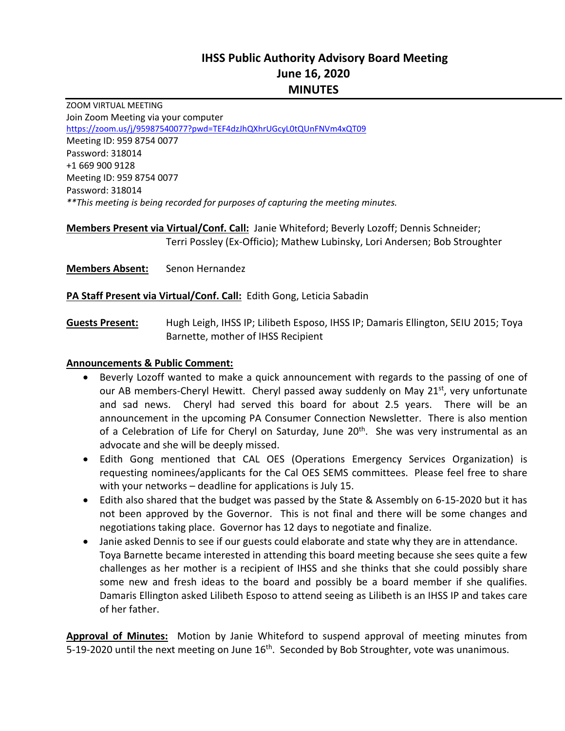# **IHSS Public Authority Advisory Board Meeting June 16, 2020 MINUTES**

ZOOM VIRTUAL MEETING Join Zoom Meeting via your computer https://zoom.us/j/95987540077?pwd=TEF4dzJhQXhrUGcyL0tQUnFNVm4xQT09 Meeting ID: 959 8754 0077 Password: 318014 +1 669 900 9128 Meeting ID: 959 8754 0077 Password: 318014 *\*\*This meeting is being recorded for purposes of capturing the meeting minutes.* 

# **Members Present via Virtual/Conf. Call:** Janie Whiteford; Beverly Lozoff; Dennis Schneider;  Terri Possley (Ex‐Officio); Mathew Lubinsky, Lori Andersen; Bob Stroughter

**Members Absent:** Senon Hernandez

**PA Staff Present via Virtual/Conf. Call:** Edith Gong, Leticia Sabadin

**Guests Present:** Hugh Leigh, IHSS IP; Lilibeth Esposo, IHSS IP; Damaris Ellington, SEIU 2015; Toya Barnette, mother of IHSS Recipient

#### **Announcements & Public Comment:**

- Beverly Lozoff wanted to make a quick announcement with regards to the passing of one of our AB members-Cheryl Hewitt. Cheryl passed away suddenly on May  $21<sup>st</sup>$ , very unfortunate and sad news. Cheryl had served this board for about 2.5 years. There will be an announcement in the upcoming PA Consumer Connection Newsletter. There is also mention of a Celebration of Life for Cheryl on Saturday, June 20<sup>th</sup>. She was very instrumental as an advocate and she will be deeply missed.
- Edith Gong mentioned that CAL OES (Operations Emergency Services Organization) is requesting nominees/applicants for the Cal OES SEMS committees. Please feel free to share with your networks – deadline for applications is July 15.
- Edith also shared that the budget was passed by the State & Assembly on 6‐15‐2020 but it has not been approved by the Governor. This is not final and there will be some changes and negotiations taking place. Governor has 12 days to negotiate and finalize.
- Janie asked Dennis to see if our guests could elaborate and state why they are in attendance. Toya Barnette became interested in attending this board meeting because she sees quite a few challenges as her mother is a recipient of IHSS and she thinks that she could possibly share some new and fresh ideas to the board and possibly be a board member if she qualifies. Damaris Ellington asked Lilibeth Esposo to attend seeing as Lilibeth is an IHSS IP and takes care of her father.

**Approval of Minutes:** Motion by Janie Whiteford to suspend approval of meeting minutes from 5-19-2020 until the next meeting on June 16<sup>th</sup>. Seconded by Bob Stroughter, vote was unanimous.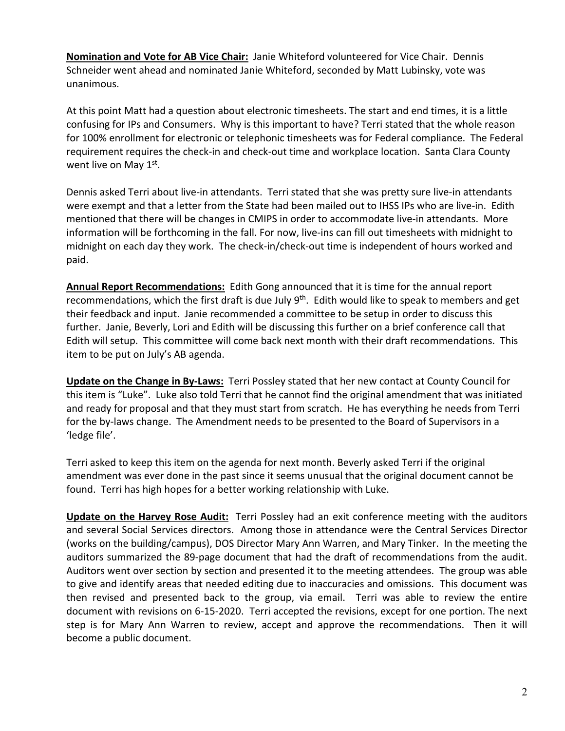**Nomination and Vote for AB Vice Chair:** Janie Whiteford volunteered for Vice Chair. Dennis Schneider went ahead and nominated Janie Whiteford, seconded by Matt Lubinsky, vote was unanimous.

At this point Matt had a question about electronic timesheets. The start and end times, it is a little confusing for IPs and Consumers. Why is this important to have? Terri stated that the whole reason for 100% enrollment for electronic or telephonic timesheets was for Federal compliance. The Federal requirement requires the check‐in and check‐out time and workplace location. Santa Clara County went live on May 1st.

Dennis asked Terri about live‐in attendants. Terri stated that she was pretty sure live‐in attendants were exempt and that a letter from the State had been mailed out to IHSS IPs who are live-in. Edith mentioned that there will be changes in CMIPS in order to accommodate live‐in attendants. More information will be forthcoming in the fall. For now, live‐ins can fill out timesheets with midnight to midnight on each day they work. The check‐in/check‐out time is independent of hours worked and paid.

**Annual Report Recommendations:** Edith Gong announced that it is time for the annual report recommendations, which the first draft is due July  $9<sup>th</sup>$ . Edith would like to speak to members and get their feedback and input. Janie recommended a committee to be setup in order to discuss this further. Janie, Beverly, Lori and Edith will be discussing this further on a brief conference call that Edith will setup. This committee will come back next month with their draft recommendations. This item to be put on July's AB agenda.

Update on the Change in By-Laws: Terri Possley stated that her new contact at County Council for this item is "Luke". Luke also told Terri that he cannot find the original amendment that was initiated and ready for proposal and that they must start from scratch. He has everything he needs from Terri for the by-laws change. The Amendment needs to be presented to the Board of Supervisors in a 'ledge file'.

Terri asked to keep this item on the agenda for next month. Beverly asked Terri if the original amendment was ever done in the past since it seems unusual that the original document cannot be found. Terri has high hopes for a better working relationship with Luke.

**Update on the Harvey Rose Audit:** Terri Possley had an exit conference meeting with the auditors and several Social Services directors. Among those in attendance were the Central Services Director (works on the building/campus), DOS Director Mary Ann Warren, and Mary Tinker. In the meeting the auditors summarized the 89‐page document that had the draft of recommendations from the audit. Auditors went over section by section and presented it to the meeting attendees. The group was able to give and identify areas that needed editing due to inaccuracies and omissions. This document was then revised and presented back to the group, via email. Terri was able to review the entire document with revisions on 6‐15‐2020. Terri accepted the revisions, except for one portion. The next step is for Mary Ann Warren to review, accept and approve the recommendations. Then it will become a public document.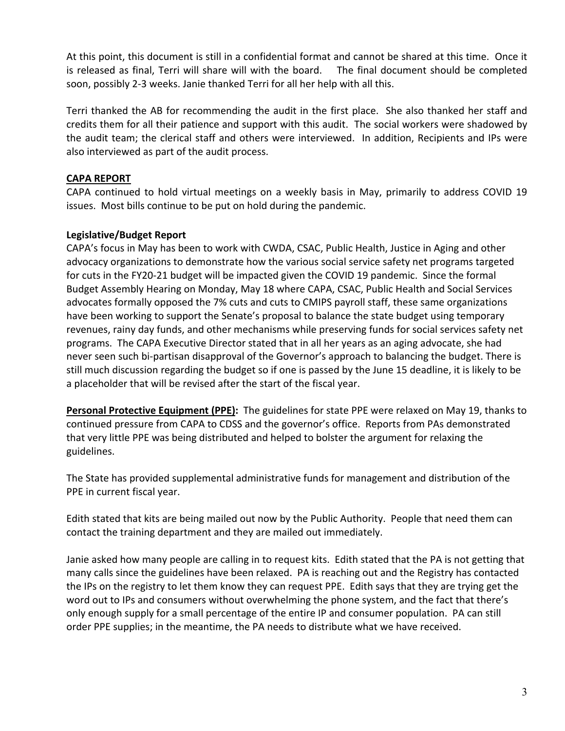At this point, this document is still in a confidential format and cannot be shared at this time. Once it is released as final, Terri will share will with the board. The final document should be completed soon, possibly 2‐3 weeks. Janie thanked Terri for all her help with all this.

Terri thanked the AB for recommending the audit in the first place. She also thanked her staff and credits them for all their patience and support with this audit. The social workers were shadowed by the audit team; the clerical staff and others were interviewed. In addition, Recipients and IPs were also interviewed as part of the audit process.

#### **CAPA REPORT**

CAPA continued to hold virtual meetings on a weekly basis in May, primarily to address COVID 19 issues. Most bills continue to be put on hold during the pandemic.

# **Legislative/Budget Report**

CAPA's focus in May has been to work with CWDA, CSAC, Public Health, Justice in Aging and other advocacy organizations to demonstrate how the various social service safety net programs targeted for cuts in the FY20‐21 budget will be impacted given the COVID 19 pandemic. Since the formal Budget Assembly Hearing on Monday, May 18 where CAPA, CSAC, Public Health and Social Services advocates formally opposed the 7% cuts and cuts to CMIPS payroll staff, these same organizations have been working to support the Senate's proposal to balance the state budget using temporary revenues, rainy day funds, and other mechanisms while preserving funds for social services safety net programs. The CAPA Executive Director stated that in all her years as an aging advocate, she had never seen such bi‐partisan disapproval of the Governor's approach to balancing the budget. There is still much discussion regarding the budget so if one is passed by the June 15 deadline, it is likely to be a placeholder that will be revised after the start of the fiscal year.

Personal Protective Equipment (PPE): The guidelines for state PPE were relaxed on May 19, thanks to continued pressure from CAPA to CDSS and the governor's office. Reports from PAs demonstrated that very little PPE was being distributed and helped to bolster the argument for relaxing the guidelines.

The State has provided supplemental administrative funds for management and distribution of the PPE in current fiscal year.

Edith stated that kits are being mailed out now by the Public Authority. People that need them can contact the training department and they are mailed out immediately.

Janie asked how many people are calling in to request kits. Edith stated that the PA is not getting that many calls since the guidelines have been relaxed. PA is reaching out and the Registry has contacted the IPs on the registry to let them know they can request PPE. Edith says that they are trying get the word out to IPs and consumers without overwhelming the phone system, and the fact that there's only enough supply for a small percentage of the entire IP and consumer population. PA can still order PPE supplies; in the meantime, the PA needs to distribute what we have received.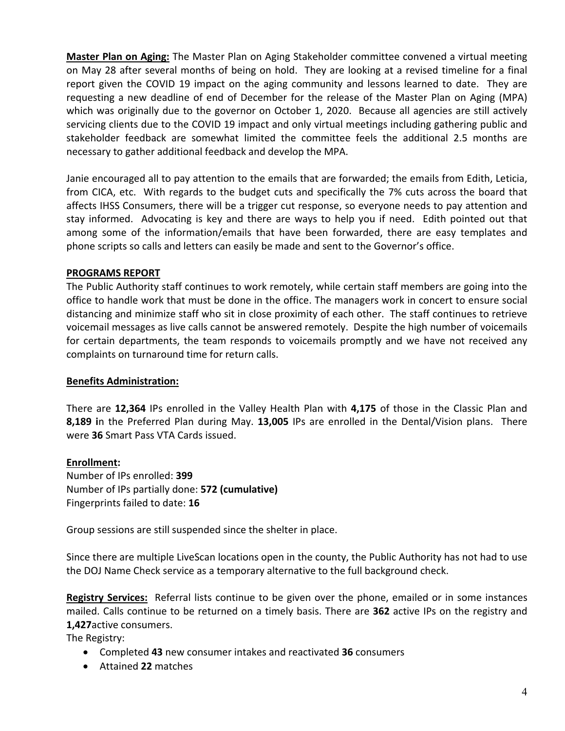**Master Plan on Aging:** The Master Plan on Aging Stakeholder committee convened a virtual meeting on May 28 after several months of being on hold. They are looking at a revised timeline for a final report given the COVID 19 impact on the aging community and lessons learned to date. They are requesting a new deadline of end of December for the release of the Master Plan on Aging (MPA) which was originally due to the governor on October 1, 2020. Because all agencies are still actively servicing clients due to the COVID 19 impact and only virtual meetings including gathering public and stakeholder feedback are somewhat limited the committee feels the additional 2.5 months are necessary to gather additional feedback and develop the MPA.

Janie encouraged all to pay attention to the emails that are forwarded; the emails from Edith, Leticia, from CICA, etc. With regards to the budget cuts and specifically the 7% cuts across the board that affects IHSS Consumers, there will be a trigger cut response, so everyone needs to pay attention and stay informed. Advocating is key and there are ways to help you if need. Edith pointed out that among some of the information/emails that have been forwarded, there are easy templates and phone scripts so calls and letters can easily be made and sent to the Governor's office.

# **PROGRAMS REPORT**

The Public Authority staff continues to work remotely, while certain staff members are going into the office to handle work that must be done in the office. The managers work in concert to ensure social distancing and minimize staff who sit in close proximity of each other. The staff continues to retrieve voicemail messages as live calls cannot be answered remotely. Despite the high number of voicemails for certain departments, the team responds to voicemails promptly and we have not received any complaints on turnaround time for return calls.

#### **Benefits Administration:**

There are **12,364** IPs enrolled in the Valley Health Plan with **4,175** of those in the Classic Plan and **8,189 i**n the Preferred Plan during May. **13,005** IPs are enrolled in the Dental/Vision plans. There were **36** Smart Pass VTA Cards issued.

#### **Enrollment:**

Number of IPs enrolled: **399**  Number of IPs partially done: **572 (cumulative)** Fingerprints failed to date: **16** 

Group sessions are still suspended since the shelter in place.

Since there are multiple LiveScan locations open in the county, the Public Authority has not had to use the DOJ Name Check service as a temporary alternative to the full background check.

**Registry Services:** Referral lists continue to be given over the phone, emailed or in some instances mailed. Calls continue to be returned on a timely basis. There are **362** active IPs on the registry and **1,427**active consumers.

The Registry:

- Completed **43** new consumer intakes and reactivated **36** consumers
- Attained **22** matches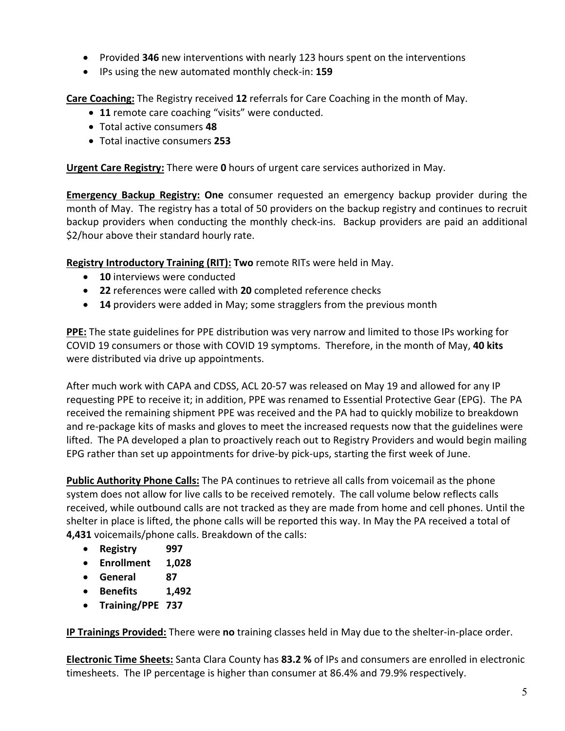- Provided **346** new interventions with nearly 123 hours spent on the interventions
- IPs using the new automated monthly check‐in: **159**

**Care Coaching:** The Registry received **12** referrals for Care Coaching in the month of May.

- **11** remote care coaching "visits" were conducted.
- Total active consumers **48**
- Total inactive consumers **253**

**Urgent Care Registry:** There were **0** hours of urgent care services authorized in May.

**Emergency Backup Registry: One** consumer requested an emergency backup provider during the month of May. The registry has a total of 50 providers on the backup registry and continues to recruit backup providers when conducting the monthly check-ins. Backup providers are paid an additional \$2/hour above their standard hourly rate.

**Registry Introductory Training (RIT): Two** remote RITs were held in May.

- **10** interviews were conducted
- **22** references were called with **20** completed reference checks
- **14** providers were added in May; some stragglers from the previous month

**PPE:** The state guidelines for PPE distribution was very narrow and limited to those IPs working for COVID 19 consumers or those with COVID 19 symptoms. Therefore, in the month of May, **40 kits** were distributed via drive up appointments.

After much work with CAPA and CDSS, ACL 20‐57 was released on May 19 and allowed for any IP requesting PPE to receive it; in addition, PPE was renamed to Essential Protective Gear (EPG). The PA received the remaining shipment PPE was received and the PA had to quickly mobilize to breakdown and re-package kits of masks and gloves to meet the increased requests now that the guidelines were lifted. The PA developed a plan to proactively reach out to Registry Providers and would begin mailing EPG rather than set up appointments for drive‐by pick‐ups, starting the first week of June.

**Public Authority Phone Calls:** The PA continues to retrieve all calls from voicemail as the phone system does not allow for live calls to be received remotely. The call volume below reflects calls received, while outbound calls are not tracked as they are made from home and cell phones. Until the shelter in place is lifted, the phone calls will be reported this way. In May the PA received a total of **4,431** voicemails/phone calls. Breakdown of the calls:

- **Registry 997**
- **Enrollment 1,028**
- **General 87**
- **Benefits 1,492**
- **Training/PPE 737**

**IP Trainings Provided:** There were **no** training classes held in May due to the shelter‐in‐place order.

**Electronic Time Sheets:** Santa Clara County has **83.2 %** of IPs and consumers are enrolled in electronic timesheets. The IP percentage is higher than consumer at 86.4% and 79.9% respectively.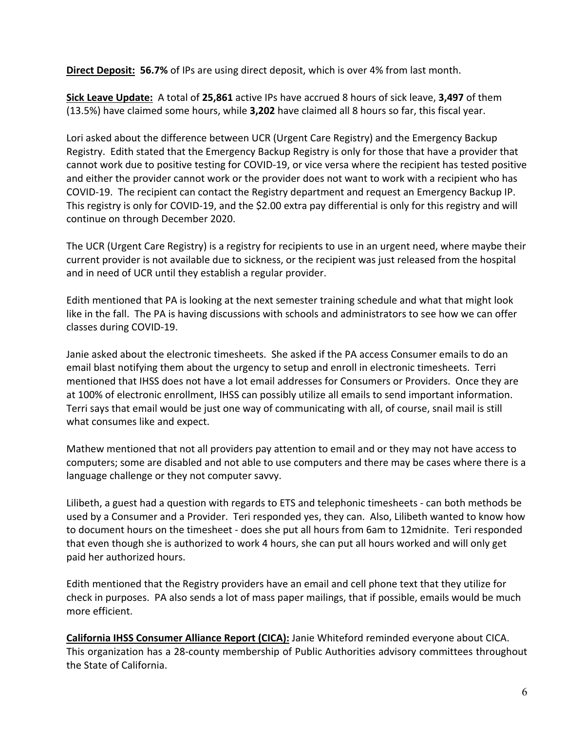**Direct Deposit: 56.7%** of IPs are using direct deposit, which is over 4% from last month.

**Sick Leave Update:** A total of **25,861** active IPs have accrued 8 hours of sick leave, **3,497** of them (13.5%) have claimed some hours, while **3,202** have claimed all 8 hours so far, this fiscal year.

Lori asked about the difference between UCR (Urgent Care Registry) and the Emergency Backup Registry. Edith stated that the Emergency Backup Registry is only for those that have a provider that cannot work due to positive testing for COVID‐19, or vice versa where the recipient has tested positive and either the provider cannot work or the provider does not want to work with a recipient who has COVID‐19. The recipient can contact the Registry department and request an Emergency Backup IP. This registry is only for COVID-19, and the \$2.00 extra pay differential is only for this registry and will continue on through December 2020.

The UCR (Urgent Care Registry) is a registry for recipients to use in an urgent need, where maybe their current provider is not available due to sickness, or the recipient was just released from the hospital and in need of UCR until they establish a regular provider.

Edith mentioned that PA is looking at the next semester training schedule and what that might look like in the fall. The PA is having discussions with schools and administrators to see how we can offer classes during COVID‐19.

Janie asked about the electronic timesheets. She asked if the PA access Consumer emails to do an email blast notifying them about the urgency to setup and enroll in electronic timesheets. Terri mentioned that IHSS does not have a lot email addresses for Consumers or Providers. Once they are at 100% of electronic enrollment, IHSS can possibly utilize all emails to send important information. Terri says that email would be just one way of communicating with all, of course, snail mail is still what consumes like and expect.

Mathew mentioned that not all providers pay attention to email and or they may not have access to computers; some are disabled and not able to use computers and there may be cases where there is a language challenge or they not computer savvy.

Lilibeth, a guest had a question with regards to ETS and telephonic timesheets ‐ can both methods be used by a Consumer and a Provider. Teri responded yes, they can. Also, Lilibeth wanted to know how to document hours on the timesheet ‐ does she put all hours from 6am to 12midnite. Teri responded that even though she is authorized to work 4 hours, she can put all hours worked and will only get paid her authorized hours.

Edith mentioned that the Registry providers have an email and cell phone text that they utilize for check in purposes. PA also sends a lot of mass paper mailings, that if possible, emails would be much more efficient.

**California IHSS Consumer Alliance Report (CICA):** Janie Whiteford reminded everyone about CICA. This organization has a 28‐county membership of Public Authorities advisory committees throughout the State of California.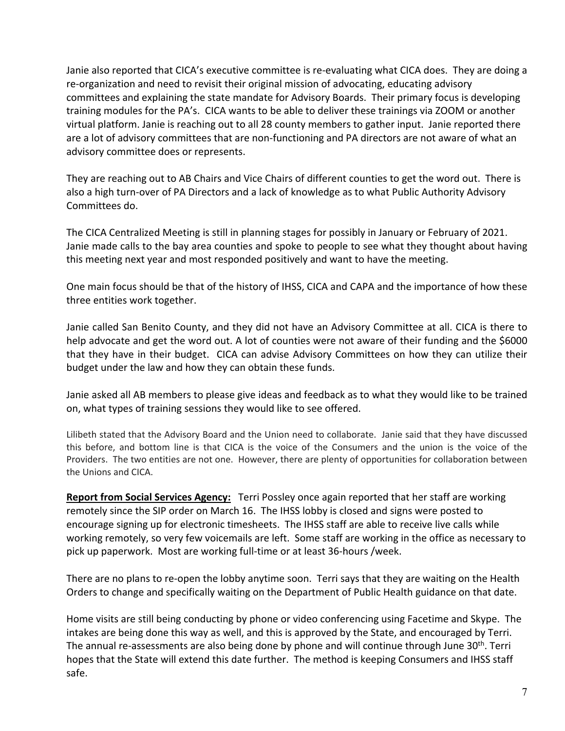Janie also reported that CICA's executive committee is re‐evaluating what CICA does. They are doing a re‐organization and need to revisit their original mission of advocating, educating advisory committees and explaining the state mandate for Advisory Boards. Their primary focus is developing training modules for the PA's. CICA wants to be able to deliver these trainings via ZOOM or another virtual platform. Janie is reaching out to all 28 county members to gather input. Janie reported there are a lot of advisory committees that are non-functioning and PA directors are not aware of what an advisory committee does or represents.

They are reaching out to AB Chairs and Vice Chairs of different counties to get the word out. There is also a high turn‐over of PA Directors and a lack of knowledge as to what Public Authority Advisory Committees do.

The CICA Centralized Meeting is still in planning stages for possibly in January or February of 2021. Janie made calls to the bay area counties and spoke to people to see what they thought about having this meeting next year and most responded positively and want to have the meeting.

One main focus should be that of the history of IHSS, CICA and CAPA and the importance of how these three entities work together.

Janie called San Benito County, and they did not have an Advisory Committee at all. CICA is there to help advocate and get the word out. A lot of counties were not aware of their funding and the \$6000 that they have in their budget. CICA can advise Advisory Committees on how they can utilize their budget under the law and how they can obtain these funds.

Janie asked all AB members to please give ideas and feedback as to what they would like to be trained on, what types of training sessions they would like to see offered.

Lilibeth stated that the Advisory Board and the Union need to collaborate. Janie said that they have discussed this before, and bottom line is that CICA is the voice of the Consumers and the union is the voice of the Providers. The two entities are not one. However, there are plenty of opportunities for collaboration between the Unions and CICA.

Report from Social Services Agency: Terri Possley once again reported that her staff are working remotely since the SIP order on March 16. The IHSS lobby is closed and signs were posted to encourage signing up for electronic timesheets. The IHSS staff are able to receive live calls while working remotely, so very few voicemails are left. Some staff are working in the office as necessary to pick up paperwork. Most are working full‐time or at least 36‐hours /week.

There are no plans to re-open the lobby anytime soon. Terri says that they are waiting on the Health Orders to change and specifically waiting on the Department of Public Health guidance on that date.

Home visits are still being conducting by phone or video conferencing using Facetime and Skype. The intakes are being done this way as well, and this is approved by the State, and encouraged by Terri. The annual re-assessments are also being done by phone and will continue through June 30<sup>th</sup>. Terri hopes that the State will extend this date further. The method is keeping Consumers and IHSS staff safe.